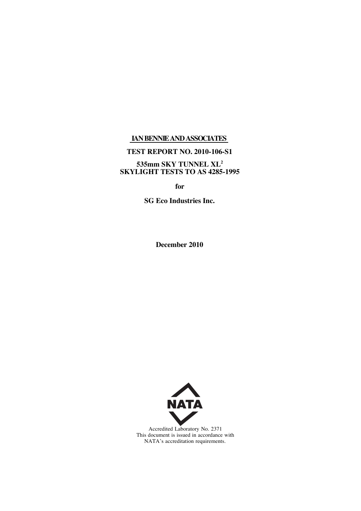## **IANBENNIEANDASSOCIATES**

## **TEST REPORT NO. 2010-106-S1**

#### **535mm SKY TUNNEL XL<sup>2</sup> SKYLIGHT TESTS TO AS 4285-1995**

**for**

**SG Eco Industries Inc.**

**December 2010**



Accredited Laboratory No. 2371 This document is issued in accordance with NATA's accreditation requirements.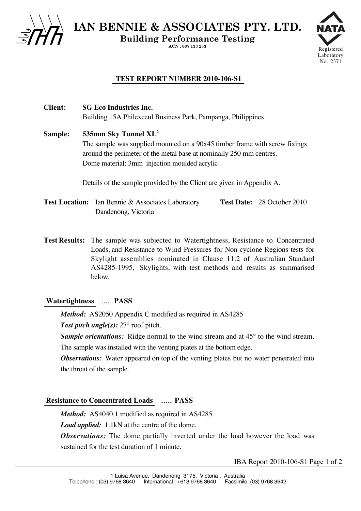

**IAN BENNIE & ASSOCIATES PTY. LTD.**

**Building Performance Testing**

**ACN : 007 133 253**



## **TEST REPORT NUMBER 2010-106-S1**

**Client: SG Eco Industries Inc.** Building 15A Philexceul Business Park, Pampanga, Philippines

**Sample: 535mm Sky Tunnel XL<sup>2</sup>** The sample was supplied mounted on a 90x45 timber frame with screw fixings around the perimeter of the metal base at nominally 250 mm centres. Dome material: 3mm injection moulded acrylic

Details of the sample provided by the Client are given in Appendix A.

**Test Location:** Ian Bennie & Associates Laboratory **Test Date:** 28 October 2010 Dandenong, Victoria

**Test Results:** The sample was subjected to Watertightness, Resistance to Concentrated Loads, and Resistance to Wind Pressures for Non-cyclone Regions tests for Skylight assemblies nominated in Clause 11.2 of Australian Standard AS4285-1995, Skylights, with test methods and results as summarised below.

#### **Watertightness** ..... **PASS**

*Method:* AS2050 Appendix C modified as required in AS4285

*Test pitch angle(s):* 27° roof pitch.

*Sample orientations:* Ridge normal to the wind stream and at 45<sup>°</sup> to the wind stream. The sample was installed with the venting plates at the bottom edge.

*Observations:* Water appeared on top of the venting plates but no water penetrated into the throat of the sample.

#### **Resistance to Concentrated Loads** ....... **PASS**

*Method:* AS4040.1 modified as required in AS4285

*Load applied:*1.1kN at the centre of the dome.

*Observations:* The dome partially inverted under the load however the load was sustained for the test duration of 1 minute.

IBA Report 2010-106-S1 Page 1 of 2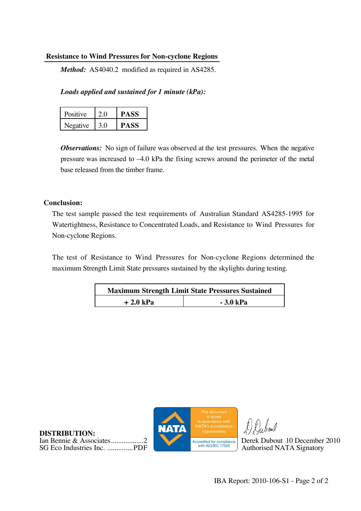### **Resistance to Wind Pressures for Non-cyclone Regions**

*Method:* AS4040.2 modified as required in AS4285.

*Loads applied and sustained for 1 minute (kPa):*

| Positive | 20  | <b>PASS</b> |
|----------|-----|-------------|
| Negative | 3.0 | <b>PASS</b> |

*Observations:* No sign of failure was observed at the test pressures. When the negative pressure was increased to –4.0 kPa the fixing screws around the perimeter of the metal base released from the timber frame.

## **Conclusion:**

The test sample passed the test requirements of Australian Standard AS4285-1995 for Watertightness, Resistance to Concentrated Loads, and Resistance to Wind Pressures for Non-cyclone Regions.

The test of Resistance to Wind Pressures for Non-cyclone Regions determined the maximum Strength Limit State pressures sustained by the skylights during testing.

| <b>Maximum Strength Limit State Pressures Sustained</b> |            |  |
|---------------------------------------------------------|------------|--|
| $+2.0$ kPa                                              | $-3.0$ kPa |  |





Walaal